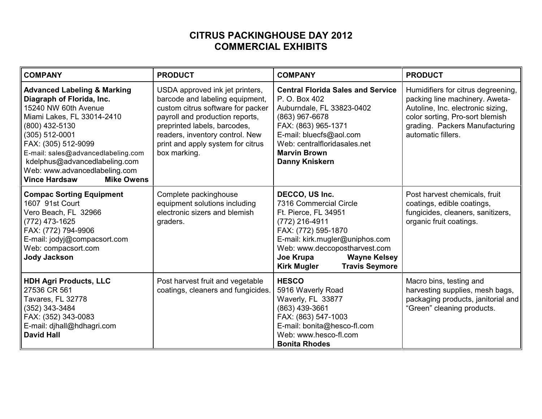## **CITRUS PACKINGHOUSE DAY 2012 COMMERCIAL EXHIBITS**

| <b>COMPANY</b>                                                                                                                                                                                                                                                                                                                            | <b>PRODUCT</b>                                                                                                                                                                                                                                                     | <b>COMPANY</b>                                                                                                                                                                                                                                                   | <b>PRODUCT</b>                                                                                                                                                                                       |
|-------------------------------------------------------------------------------------------------------------------------------------------------------------------------------------------------------------------------------------------------------------------------------------------------------------------------------------------|--------------------------------------------------------------------------------------------------------------------------------------------------------------------------------------------------------------------------------------------------------------------|------------------------------------------------------------------------------------------------------------------------------------------------------------------------------------------------------------------------------------------------------------------|------------------------------------------------------------------------------------------------------------------------------------------------------------------------------------------------------|
| <b>Advanced Labeling &amp; Marking</b><br>Diagraph of Florida, Inc.<br>15240 NW 60th Avenue<br>Miami Lakes, FL 33014-2410<br>(800) 432-5130<br>(305) 512-0001<br>FAX: (305) 512-9099<br>E-mail: sales@advancedlabeling.com<br>kdelphus@advancedlabeling.com<br>Web: www.advancedlabeling.com<br><b>Vince Hardsaw</b><br><b>Mike Owens</b> | USDA approved ink jet printers,<br>barcode and labeling equipment,<br>custom citrus software for packer<br>payroll and production reports,<br>preprinted labels, barcodes,<br>readers, inventory control. New<br>print and apply system for citrus<br>box marking. | <b>Central Florida Sales and Service</b><br>P. O. Box 402<br>Auburndale, FL 33823-0402<br>(863) 967-6678<br>FAX: (863) 965-1371<br>E-mail: bluecfs@aol.com<br>Web: centralfloridasales.net<br><b>Marvin Brown</b><br><b>Danny Kniskern</b>                       | Humidifiers for citrus degreening,<br>packing line machinery. Aweta-<br>Autoline, Inc. electronic sizing,<br>color sorting, Pro-sort blemish<br>grading. Packers Manufacturing<br>automatic fillers. |
| <b>Compac Sorting Equipment</b><br>1607 91st Court<br>Vero Beach, FL 32966<br>(772) 473-1625<br>FAX: (772) 794-9906<br>E-mail: jodyj@compacsort.com<br>Web: compacsort.com<br><b>Jody Jackson</b>                                                                                                                                         | Complete packinghouse<br>equipment solutions including<br>electronic sizers and blemish<br>graders.                                                                                                                                                                | DECCO, US Inc.<br>7316 Commercial Circle<br>Ft. Pierce, FL 34951<br>(772) 216-4911<br>FAX: (772) 595-1870<br>E-mail: kirk.mugler@uniphos.com<br>Web: www.deccopostharvest.com<br>Joe Krupa<br><b>Wayne Kelsey</b><br><b>Travis Seymore</b><br><b>Kirk Mugler</b> | Post harvest chemicals, fruit<br>coatings, edible coatings,<br>fungicides, cleaners, sanitizers,<br>organic fruit coatings.                                                                          |
| <b>HDH Agri Products, LLC</b><br>27536 CR 561<br>Tavares, FL 32778<br>(352) 343-3484<br>FAX: (352) 343-0083<br>E-mail: djhall@hdhagri.com<br><b>David Hall</b>                                                                                                                                                                            | Post harvest fruit and vegetable<br>coatings, cleaners and fungicides.                                                                                                                                                                                             | <b>HESCO</b><br>5916 Waverly Road<br>Waverly, FL 33877<br>(863) 439-3661<br>FAX: (863) 547-1003<br>E-mail: bonita@hesco-fl.com<br>Web: www.hesco-fl.com<br><b>Bonita Rhodes</b>                                                                                  | Macro bins, testing and<br>harvesting supplies, mesh bags,<br>packaging products, janitorial and<br>"Green" cleaning products.                                                                       |